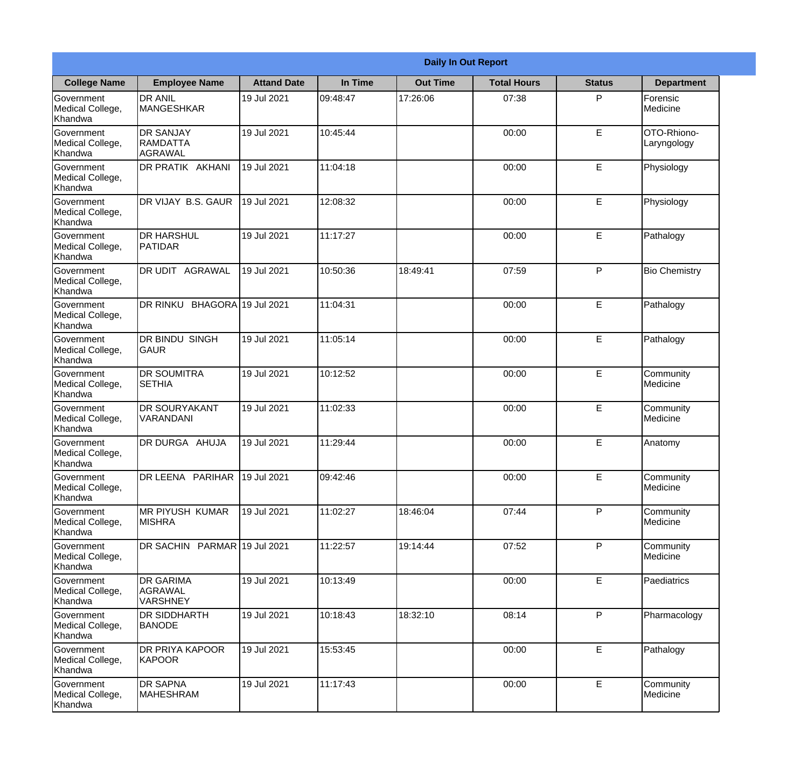|                                                  | <b>Daily In Out Report</b>                     |                    |          |                 |                    |               |                            |  |
|--------------------------------------------------|------------------------------------------------|--------------------|----------|-----------------|--------------------|---------------|----------------------------|--|
| <b>College Name</b>                              | <b>Employee Name</b>                           | <b>Attand Date</b> | In Time  | <b>Out Time</b> | <b>Total Hours</b> | <b>Status</b> | <b>Department</b>          |  |
| Government<br>Medical College,<br>Khandwa        | <b>DR ANIL</b><br><b>MANGESHKAR</b>            | 19 Jul 2021        | 09:48:47 | 17:26:06        | 07:38              | P             | Forensic<br>Medicine       |  |
| Government<br>Medical College,<br>Khandwa        | <b>DR SANJAY</b><br><b>RAMDATTA</b><br>AGRAWAL | 19 Jul 2021        | 10:45:44 |                 | 00:00              | $\mathsf E$   | OTO-Rhiono-<br>Laryngology |  |
| Government<br>Medical College,<br>Khandwa        | <b>DR PRATIK AKHANI</b>                        | 19 Jul 2021        | 11:04:18 |                 | 00:00              | E             | Physiology                 |  |
| <b>Government</b><br>Medical College,<br>Khandwa | DR VIJAY B.S. GAUR                             | 19 Jul 2021        | 12:08:32 |                 | 00:00              | E             | Physiology                 |  |
| Government<br>Medical College,<br>Khandwa        | <b>DR HARSHUL</b><br>PATIDAR                   | 19 Jul 2021        | 11:17:27 |                 | 00:00              | E             | Pathalogy                  |  |
| <b>Government</b><br>Medical College,<br>Khandwa | DR UDIT AGRAWAL                                | 19 Jul 2021        | 10:50:36 | 18:49:41        | 07:59              | P             | <b>Bio Chemistry</b>       |  |
| <b>Government</b><br>Medical College,<br>Khandwa | DR RINKU BHAGORA 19 Jul 2021                   |                    | 11:04:31 |                 | 00:00              | E             | Pathalogy                  |  |
| <b>Government</b><br>Medical College,<br>Khandwa | <b>DR BINDU SINGH</b><br><b>GAUR</b>           | 19 Jul 2021        | 11:05:14 |                 | 00:00              | E             | Pathalogy                  |  |
| Government<br>Medical College,<br>Khandwa        | <b>DR SOUMITRA</b><br><b>SETHIA</b>            | 19 Jul 2021        | 10:12:52 |                 | 00:00              | E             | Community<br>Medicine      |  |
| Government<br>Medical College,<br>Khandwa        | <b>DR SOURYAKANT</b><br>VARANDANI              | 19 Jul 2021        | 11:02:33 |                 | 00:00              | E             | Community<br>Medicine      |  |
| Government<br>Medical College,<br>Khandwa        | DR DURGA AHUJA                                 | 19 Jul 2021        | 11:29:44 |                 | 00:00              | E             | Anatomy                    |  |
| Government<br>Medical College,<br>Khandwa        | DR LEENA PARIHAR                               | 19 Jul 2021        | 09:42:46 |                 | 00:00              | E             | Community<br>Medicine      |  |
| Government<br>Medical College,<br>Khandwa        | MR PIYUSH KUMAR<br><b>MISHRA</b>               | 19 Jul 2021        | 11:02:27 | 18:46:04        | 07:44              | P             | Community<br>Medicine      |  |
| Government<br>Medical College,<br>Khandwa        | DR SACHIN PARMAR 19 Jul 2021                   |                    | 11:22:57 | 19:14:44        | 07:52              | P             | Community<br>Medicine      |  |
| <b>Government</b><br>Medical College,<br>Khandwa | <b>DR GARIMA</b><br>AGRAWAL<br><b>VARSHNEY</b> | 19 Jul 2021        | 10:13:49 |                 | 00:00              | E             | Paediatrics                |  |
| Government<br>Medical College,<br>Khandwa        | <b>DR SIDDHARTH</b><br><b>BANODE</b>           | 19 Jul 2021        | 10:18:43 | 18:32:10        | 08:14              | P             | Pharmacology               |  |
| Government<br>Medical College,<br>Khandwa        | <b>DR PRIYA KAPOOR</b><br>KAPOOR               | 19 Jul 2021        | 15:53:45 |                 | 00:00              | $\mathsf E$   | Pathalogy                  |  |
| Government<br>Medical College,<br>Khandwa        | <b>DR SAPNA</b><br><b>MAHESHRAM</b>            | 19 Jul 2021        | 11:17:43 |                 | 00:00              | $\mathsf E$   | Community<br>Medicine      |  |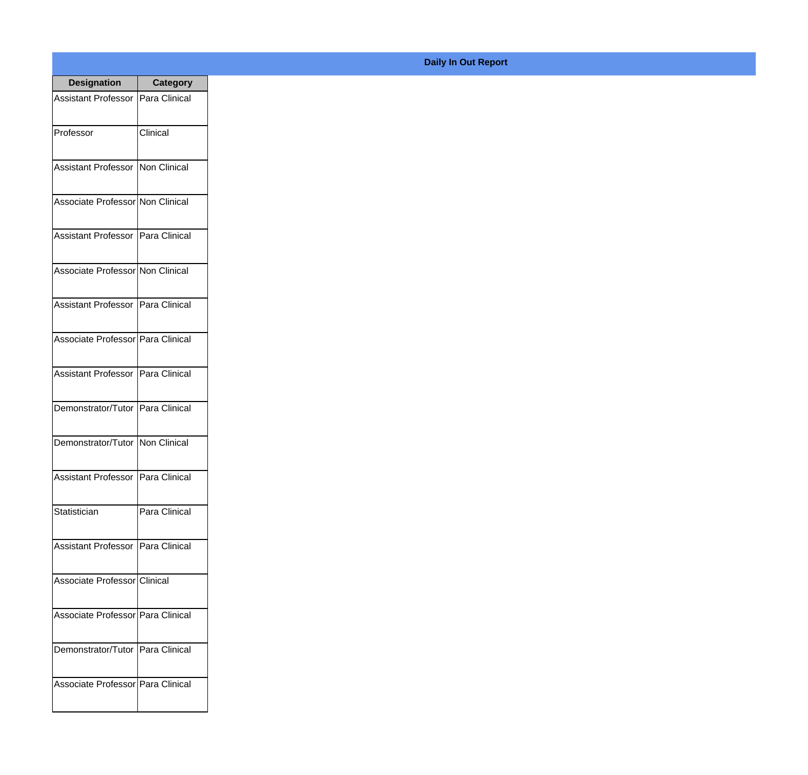| <b>Designation</b>                  | <b>Category</b> |
|-------------------------------------|-----------------|
| Assistant Professor   Para Clinical |                 |
| Professor                           | Clinical        |
| Assistant Professor   Non Clinical  |                 |
| Associate Professor Non Clinical    |                 |
| Assistant Professor   Para Clinical |                 |
| Associate Professor Non Clinical    |                 |
| Assistant Professor   Para Clinical |                 |
| Associate Professor   Para Clinical |                 |
| Assistant Professor   Para Clinical |                 |
| Demonstrator/Tutor   Para Clinical  |                 |
| Demonstrator/Tutor   Non Clinical   |                 |
| Assistant Professor   Para Clinical |                 |
| Statistician                        | Para Clinical   |
| Assistant Professor   Para Clinical |                 |
| Associate Professor Clinical        |                 |
| Associate Professor Para Clinical   |                 |
| Demonstrator/Tutor   Para Clinical  |                 |
| Associate Professor Para Clinical   |                 |

## **Daily In Out Report**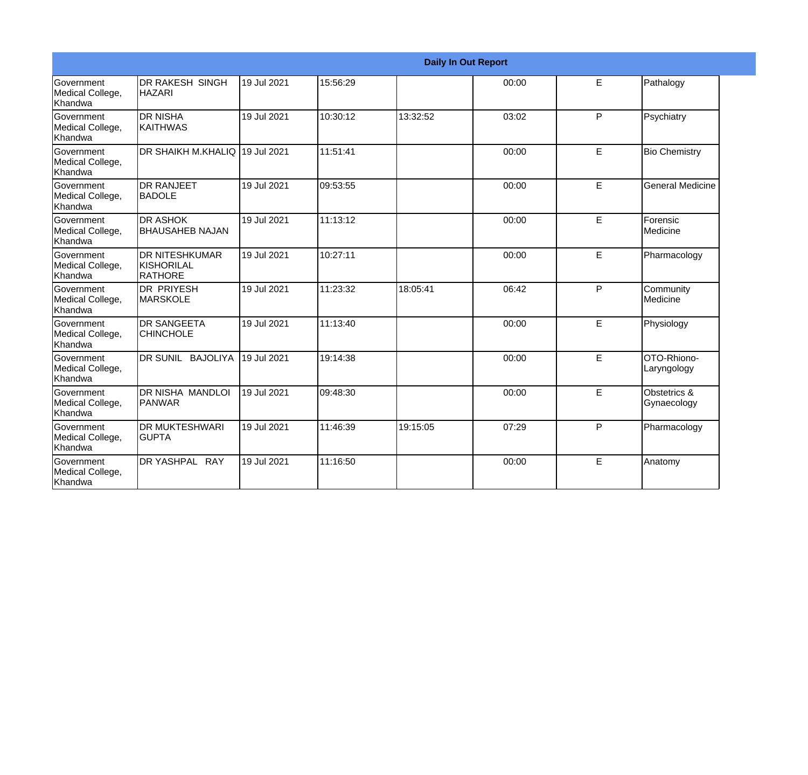|                                                         |                                                       |             |          | <b>Daily In Out Report</b> |       |             |                              |
|---------------------------------------------------------|-------------------------------------------------------|-------------|----------|----------------------------|-------|-------------|------------------------------|
| Government<br>Medical College,<br>Khandwa               | <b>DR RAKESH SINGH</b><br><b>HAZARI</b>               | 19 Jul 2021 | 15:56:29 |                            | 00:00 | E           | Pathalogy                    |
| Government<br>Medical College,<br>Khandwa               | <b>DR NISHA</b><br><b>KAITHWAS</b>                    | 19 Jul 2021 | 10:30:12 | 13:32:52                   | 03:02 | P           | Psychiatry                   |
| Government<br>Medical College,<br>Khandwa               | DR SHAIKH M.KHALIQ 19 Jul 2021                        |             | 11:51:41 |                            | 00:00 | E           | <b>Bio Chemistry</b>         |
| <b>Government</b><br>Medical College,<br><b>Khandwa</b> | <b>DR RANJEET</b><br><b>BADOLE</b>                    | 19 Jul 2021 | 09:53:55 |                            | 00:00 | E           | <b>General Medicine</b>      |
| Government<br>Medical College,<br><b>Khandwa</b>        | <b>DR ASHOK</b><br><b>BHAUSAHEB NAJAN</b>             | 19 Jul 2021 | 11:13:12 |                            | 00:00 | E           | Forensic<br>Medicine         |
| Government<br>Medical College,<br>Khandwa               | <b>DR NITESHKUMAR</b><br><b>KISHORILAL</b><br>RATHORE | 19 Jul 2021 | 10:27:11 |                            | 00:00 | E.          | Pharmacology                 |
| Government<br>Medical College,<br>Khandwa               | <b>DR PRIYESH</b><br><b>MARSKOLE</b>                  | 19 Jul 2021 | 11:23:32 | 18:05:41                   | 06:42 | P           | Community<br><b>Medicine</b> |
| <b>Government</b><br>Medical College,<br>Khandwa        | <b>DR SANGEETA</b><br><b>CHINCHOLE</b>                | 19 Jul 2021 | 11:13:40 |                            | 00:00 | E           | Physiology                   |
| Government<br>Medical College,<br>Khandwa               | DR SUNIL BAJOLIYA                                     | 19 Jul 2021 | 19:14:38 |                            | 00:00 | E.          | OTO-Rhiono-<br>Laryngology   |
| <b>Government</b><br>Medical College,<br>Khandwa        | <b>DR NISHA MANDLOI</b><br>PANWAR                     | 19 Jul 2021 | 09:48:30 |                            | 00:00 | E           | Obstetrics &<br>Gynaecology  |
| Government<br>Medical College,<br>Khandwa               | <b>DR MUKTESHWARI</b><br><b>GUPTA</b>                 | 19 Jul 2021 | 11:46:39 | 19:15:05                   | 07:29 | P           | Pharmacology                 |
| <b>Government</b><br>Medical College,<br>Khandwa        | DR YASHPAL RAY                                        | 19 Jul 2021 | 11:16:50 |                            | 00:00 | $\mathsf E$ | Anatomy                      |